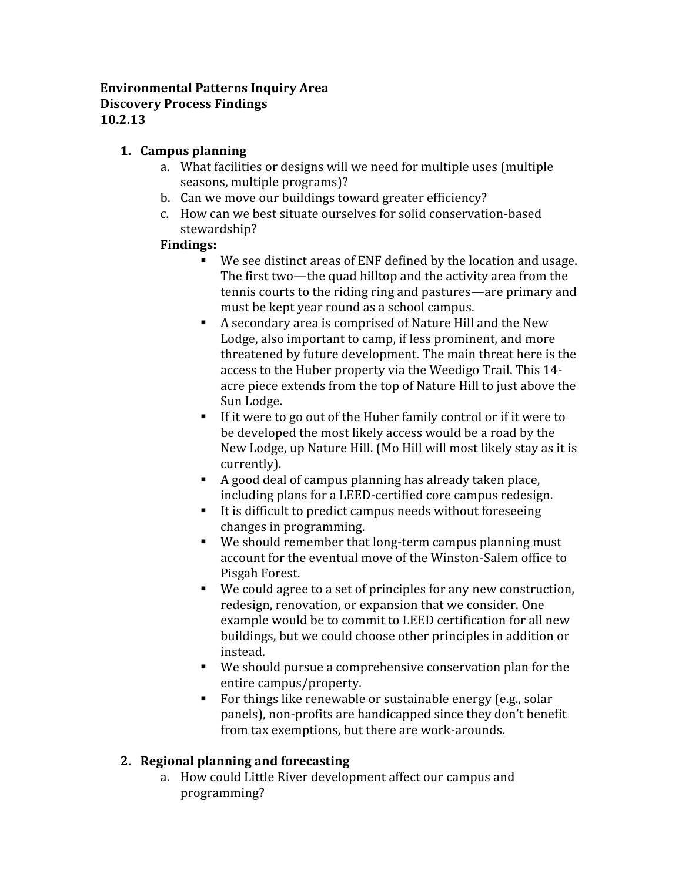#### **Environmental Patterns Inquiry Area Discovery Process Findings 10.2.13**

# **1. Campus planning**

- a. What facilities or designs will we need for multiple uses (multiple seasons, multiple programs)?
- b. Can we move our buildings toward greater efficiency?
- c. How can we best situate ourselves for solid conservation-based stewardship?

# **Findings:**

- We see distinct areas of ENF defined by the location and usage. The first two—the quad hilltop and the activity area from the tennis courts to the riding ring and pastures—are primary and
- $\blacksquare$  A secondary area is comprised of Nature Hill and the New Lodge, also important to camp, if less prominent, and more threatened by future development. The main threat here is the access to the Huber property via the Weedigo Trail. This 14 acre piece extends from the top of Nature Hill to just above the<br>Sun Lodge.
- $\blacksquare$  If it were to go out of the Huber family control or if it were to be developed the most likely access would be a road by the New Lodge, up Nature Hill. (Mo Hill will most likely stay as it is
- A good deal of campus planning has already taken place,<br>including plans for a LEED-certified core campus redesign.
- It is difficult to predict campus needs without foreseeing.<br>changes in programming.
- $\blacksquare$  We should remember that long-term campus planning must account for the eventual move of the Winston-Salem office to<br>Pisgah Forest.
- $\Psi$  We could agree to a set of principles for any new construction, redesign, renovation, or expansion that we consider. One example would be to commit to LEED certification for all new buildings, but we could choose other principles in addition or
- $\blacksquare$  We should pursue a comprehensive conservation plan for the entire campus/property.
- For things like renewable or sustainable energy (e.g., solar panels), non-profits are handicapped since they don't benefit from tax exemptions, but there are work-arounds.

# **2. Regional planning and forecasting**

a. How could Little River development affect our campus and programming?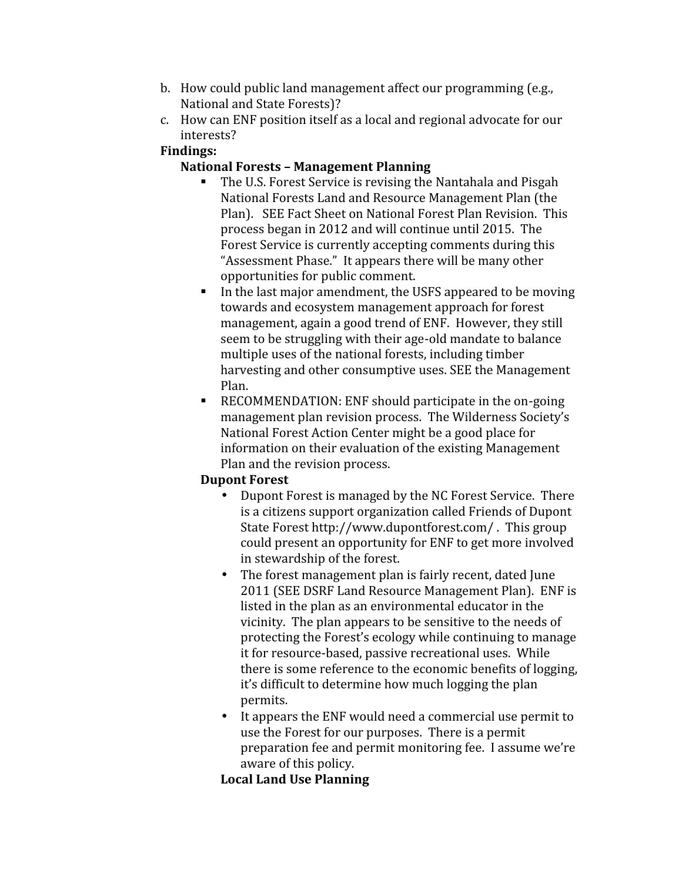- b. How could public land management affect our programming (e.g., National and State Forests)?
- c. How can ENF position itself as a local and regional advocate for our interests?

### **Findings:**

## **National Forests – Management Planning**

- The U.S. Forest Service is revising the Nantahala and Pisgah National Forests Land and Resource Management Plan (the Plan). SEE Fact Sheet on National Forest Plan Revision. This process began in 2012 and will continue until 2015. The Forest Service is currently accepting comments during this "Assessment Phase." It appears there will be many other
- $\blacksquare$  In the last major amendment, the USFS appeared to be moving towards and ecosystem management approach for forest management, again a good trend of ENF. However, they still seem to be struggling with their age-old mandate to balance multiple uses of the national forests, including timber harvesting and other consumptive uses. SEE the Management Plan.
- $\blacksquare$  RECOMMENDATION: ENF should participate in the on-going management plan revision process. The Wilderness Society's National Forest Action Center might be a good place for information on their evaluation of the existing Management Plan and the revision process.

#### **Dupont Forest**

- Dupont Forest is managed by the NC Forest Service. There is a citizens support organization called Friends of Dupont State Forest http://www.dupontforest.com/ . This group could present an opportunity for ENF to get more involved
- $\bullet$  The forest management plan is fairly recent, dated June 2011 (SEE DSRF Land Resource Management Plan). ENF is listed in the plan as an environmental educator in the vicinity. The plan appears to be sensitive to the needs of protecting the Forest's ecology while continuing to manage it for resource-based, passive recreational uses. While there is some reference to the economic benefits of logging, it's difficult to determine how much logging the plan
- $\bullet$  It appears the ENF would need a commercial use permit to use the Forest for our purposes. There is a permit preparation fee and permit monitoring fee. I assume we're aware of this policy.

## **Local Land Use Planning**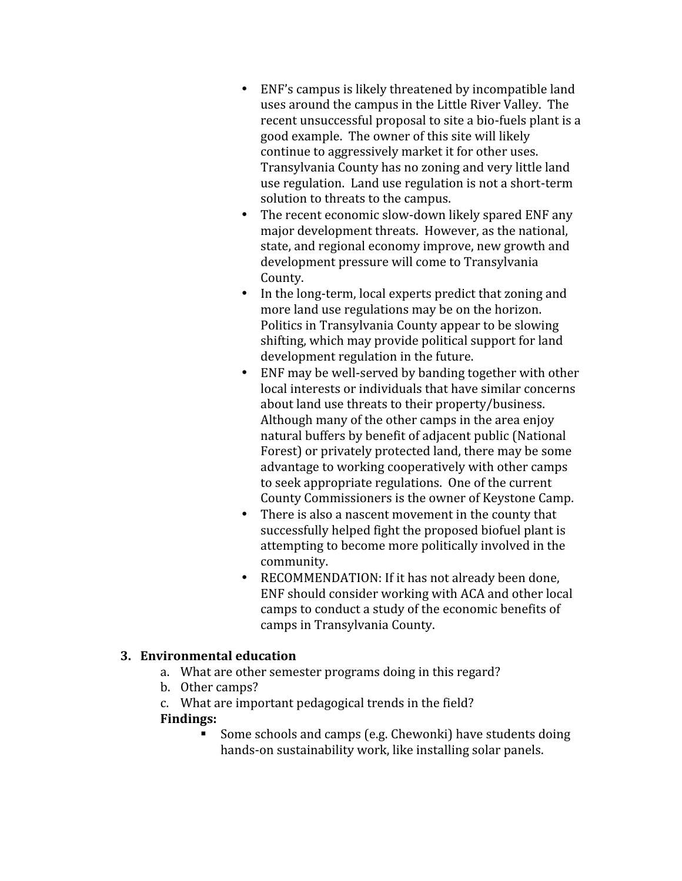- ENF's campus is likely threatened by incompatible land uses around the campus in the Little River Valley. The recent unsuccessful proposal to site a bio-fuels plant is a good example. The owner of this site will likely continue to aggressively market it for other uses. Transylvania County has no zoning and very little land use regulation. Land use regulation is not a short-term<br>solution to threats to the campus.
- The recent economic slow-down likely spared ENF any major development threats. However, as the national, state, and regional economy improve, new growth and development pressure will come to Transylvania<br>County.
- $\bullet$  In the long-term, local experts predict that zoning and more land use regulations may be on the horizon. Politics in Transylvania County appear to be slowing shifting, which may provide political support for land development regulation in the future.
- $\bullet$  ENF may be well-served by banding together with other local interests or individuals that have similar concerns about land use threats to their property/business. Although many of the other camps in the area enjoy natural buffers by benefit of adjacent public (National Forest) or privately protected land, there may be some advantage to working cooperatively with other camps to seek appropriate regulations. One of the current
- $\bullet$  There is also a nascent movement in the county that successfully helped fight the proposed biofuel plant is attempting to become more politically involved in the
- $\bullet$  RECOMMENDATION: If it has not already been done, ENF should consider working with ACA and other local camps to conduct a study of the economic benefits of camps in Transylvania County.

#### **3. Environmental education**

- a. What are other semester programs doing in this regard?
- b. Other camps?

c. What are important pedagogical trends in the field?

#### **Findings:**

 Some schools and camps (e.g. Chewonki) have students doing hands-on sustainability work, like installing solar panels.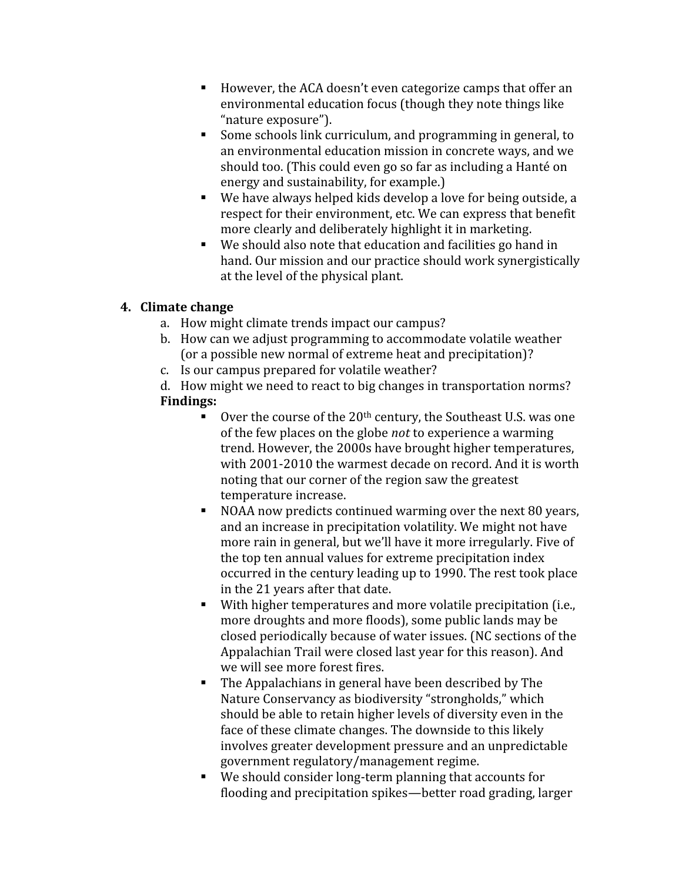- However, the ACA doesn't even categorize camps that offer an environmental education focus (though they note things like "nature exposure").
- Some schools link curriculum, and programming in general, to an environmental education mission in concrete ways, and we should too. (This could even go so far as including a Hanté on energy and sustainability, for example.)
- Energy and sustainability we have always helped kids develop a love for being outside, a respect for their environment, etc. We can express that benefit more clearly and deliberately highlight it in marketing.
- $\blacksquare$  We should also note that education and facilities go hand in hand. Our mission and our practice should work synergistically at the level of the physical plant.

# **4. Climate change**

- a. How might climate trends impact our campus?
- b. How can we adjust programming to accommodate volatile weather (or a possible new normal of extreme heat and precipitation)?
- c. Is our campus prepared for volatile weather?

d. How might we need to react to big changes in transportation norms? **Findings:**

- Over the course of the  $20<sup>th</sup>$  century, the Southeast U.S. was one of the few places on the globe *not* to experience a warming trend. However, the 2000s have brought higher temperatures, with 2001-2010 the warmest decade on record. And it is worth noting that our corner of the region saw the greatest
- $\blacksquare$  NOAA now predicts continued warming over the next 80 years, and an increase in precipitation volatility. We might not have more rain in general, but we'll have it more irregularly. Five of the top ten annual values for extreme precipitation index occurred in the century leading up to 1990. The rest took place in the 21 years after that date.
- **•** With higher temperatures and more volatile precipitation (i.e., more droughts and more floods), some public lands may be closed periodically because of water issues. (NC sections of the Appalachian Trail were closed last year for this reason). And<br>we will see more forest fires.
- $\blacksquare$  The Appalachians in general have been described by The Nature Conservancy as biodiversity "strongholds," which should be able to retain higher levels of diversity even in the face of these climate changes. The downside to this likely involves greater development pressure and an unpredictable
- $\blacksquare$  We should consider long-term planning that accounts for flooding and precipitation spikes—better road grading, larger